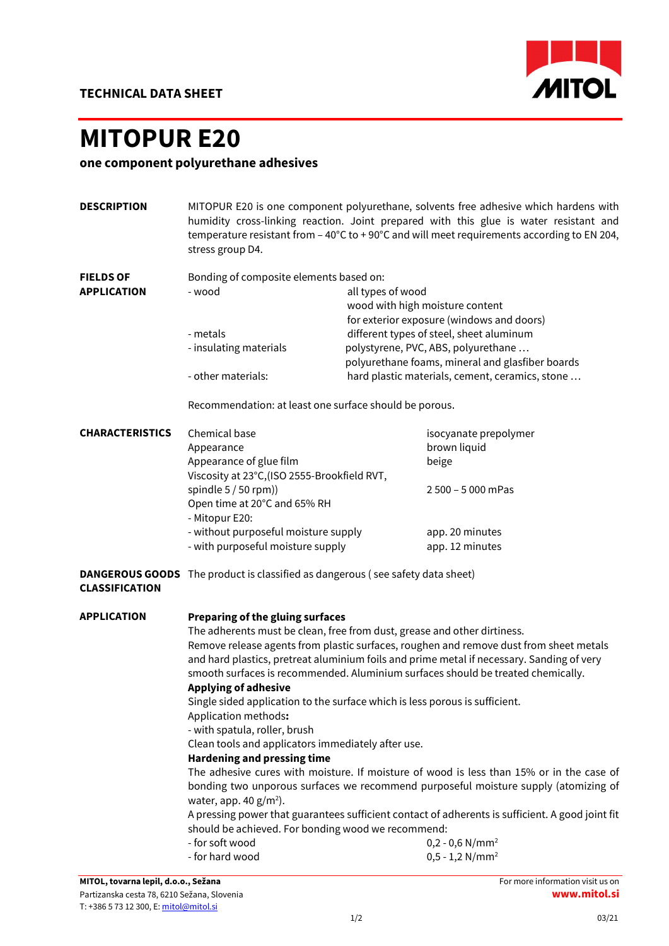

## MITOPUR E20

## one component polyurethane adhesives

| <b>DESCRIPTION</b>                   | MITOPUR E20 is one component polyurethane, solvents free adhesive which hardens with<br>humidity cross-linking reaction. Joint prepared with this glue is water resistant and<br>temperature resistant from - 40°C to +90°C and will meet requirements according to EN 204, |                                 |                                                                                           |  |  |  |
|--------------------------------------|-----------------------------------------------------------------------------------------------------------------------------------------------------------------------------------------------------------------------------------------------------------------------------|---------------------------------|-------------------------------------------------------------------------------------------|--|--|--|
|                                      | stress group D4.                                                                                                                                                                                                                                                            |                                 |                                                                                           |  |  |  |
| <b>FIELDS OF</b>                     | Bonding of composite elements based on:                                                                                                                                                                                                                                     |                                 |                                                                                           |  |  |  |
| <b>APPLICATION</b>                   | - wood                                                                                                                                                                                                                                                                      | all types of wood               |                                                                                           |  |  |  |
|                                      |                                                                                                                                                                                                                                                                             | wood with high moisture content |                                                                                           |  |  |  |
|                                      |                                                                                                                                                                                                                                                                             |                                 | for exterior exposure (windows and doors)                                                 |  |  |  |
|                                      | - metals                                                                                                                                                                                                                                                                    |                                 | different types of steel, sheet aluminum                                                  |  |  |  |
|                                      | - insulating materials                                                                                                                                                                                                                                                      |                                 | polystyrene, PVC, ABS, polyurethane                                                       |  |  |  |
|                                      |                                                                                                                                                                                                                                                                             |                                 | polyurethane foams, mineral and glasfiber boards                                          |  |  |  |
|                                      | - other materials:                                                                                                                                                                                                                                                          |                                 | hard plastic materials, cement, ceramics, stone                                           |  |  |  |
|                                      | Recommendation: at least one surface should be porous.                                                                                                                                                                                                                      |                                 |                                                                                           |  |  |  |
| <b>CHARACTERISTICS</b>               | Chemical base                                                                                                                                                                                                                                                               |                                 | isocyanate prepolymer                                                                     |  |  |  |
|                                      | Appearance                                                                                                                                                                                                                                                                  |                                 | brown liquid                                                                              |  |  |  |
|                                      | Appearance of glue film                                                                                                                                                                                                                                                     |                                 | beige                                                                                     |  |  |  |
|                                      | Viscosity at 23°C, (ISO 2555-Brookfield RVT,                                                                                                                                                                                                                                |                                 |                                                                                           |  |  |  |
|                                      | spindle 5 / 50 rpm))                                                                                                                                                                                                                                                        |                                 | 2 500 - 5 000 mPas                                                                        |  |  |  |
|                                      | Open time at 20°C and 65% RH                                                                                                                                                                                                                                                |                                 |                                                                                           |  |  |  |
|                                      | - Mitopur E20:                                                                                                                                                                                                                                                              |                                 |                                                                                           |  |  |  |
|                                      | - without purposeful moisture supply                                                                                                                                                                                                                                        |                                 | app. 20 minutes                                                                           |  |  |  |
|                                      | - with purposeful moisture supply                                                                                                                                                                                                                                           |                                 | app. 12 minutes                                                                           |  |  |  |
| <b>CLASSIFICATION</b>                | <b>DANGEROUS GOODS</b> The product is classified as dangerous (see safety data sheet)                                                                                                                                                                                       |                                 |                                                                                           |  |  |  |
| <b>APPLICATION</b>                   | <b>Preparing of the gluing surfaces</b>                                                                                                                                                                                                                                     |                                 |                                                                                           |  |  |  |
|                                      | The adherents must be clean, free from dust, grease and other dirtiness.                                                                                                                                                                                                    |                                 |                                                                                           |  |  |  |
|                                      |                                                                                                                                                                                                                                                                             |                                 | Remove release agents from plastic surfaces, roughen and remove dust from sheet metals    |  |  |  |
|                                      |                                                                                                                                                                                                                                                                             |                                 | and hard plastics, pretreat aluminium foils and prime metal if necessary. Sanding of very |  |  |  |
|                                      | smooth surfaces is recommended. Aluminium surfaces should be treated chemically.<br><b>Applying of adhesive</b><br>Single sided application to the surface which is less porous is sufficient.<br>Application methods:                                                      |                                 |                                                                                           |  |  |  |
|                                      |                                                                                                                                                                                                                                                                             |                                 |                                                                                           |  |  |  |
|                                      |                                                                                                                                                                                                                                                                             |                                 |                                                                                           |  |  |  |
|                                      |                                                                                                                                                                                                                                                                             |                                 |                                                                                           |  |  |  |
|                                      | - with spatula, roller, brush                                                                                                                                                                                                                                               |                                 |                                                                                           |  |  |  |
|                                      | Clean tools and applicators immediately after use.                                                                                                                                                                                                                          |                                 |                                                                                           |  |  |  |
|                                      | <b>Hardening and pressing time</b>                                                                                                                                                                                                                                          |                                 |                                                                                           |  |  |  |
|                                      | The adhesive cures with moisture. If moisture of wood is less than 15% or in the case of                                                                                                                                                                                    |                                 |                                                                                           |  |  |  |
|                                      | bonding two unporous surfaces we recommend purposeful moisture supply (atomizing of<br>water, app. 40 $g/m^2$ ).                                                                                                                                                            |                                 |                                                                                           |  |  |  |
|                                      | A pressing power that guarantees sufficient contact of adherents is sufficient. A good joint fit                                                                                                                                                                            |                                 |                                                                                           |  |  |  |
|                                      | should be achieved. For bonding wood we recommend:                                                                                                                                                                                                                          |                                 |                                                                                           |  |  |  |
|                                      | - for soft wood                                                                                                                                                                                                                                                             |                                 | $0,2 - 0,6$ N/mm <sup>2</sup>                                                             |  |  |  |
|                                      | - for hard wood                                                                                                                                                                                                                                                             |                                 | $0,5 - 1,2$ N/mm <sup>2</sup>                                                             |  |  |  |
| MITOL, tovarna lepil, d.o.o., Sežana |                                                                                                                                                                                                                                                                             |                                 | For more information visit us on                                                          |  |  |  |